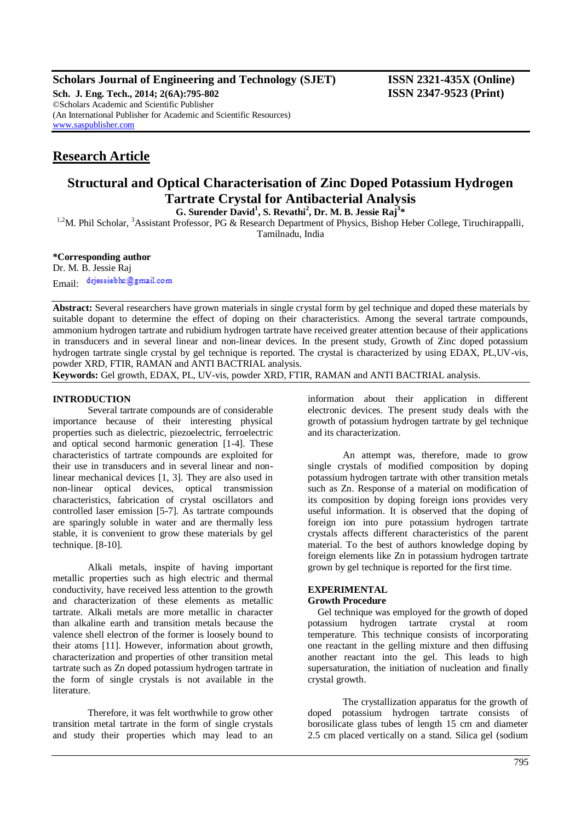# **Scholars Journal of Engineering and Technology (SJET) ISSN 2321-435X (Online)**

**Sch. J. Eng. Tech., 2014; 2(6A):795-802 ISSN 2347-9523 (Print)** ©Scholars Academic and Scientific Publisher (An International Publisher for Academic and Scientific Resources) [www.saspublisher.com](http://www.saspublisher.com/)

# **Research Article**

# **Structural and Optical Characterisation of Zinc Doped Potassium Hydrogen Tartrate Crystal for Antibacterial Analysis**

**G. Surender David<sup>1</sup> , S. Revathi<sup>2</sup> , Dr. M. B. Jessie Raj<sup>3</sup> \***

<sup>1,2</sup>M. Phil Scholar, <sup>3</sup>Assistant Professor, PG & Research Department of Physics, Bishop Heber College, Tiruchirappalli,

Tamilnadu, India

**\*Corresponding author**

Dr. M. B. Jessie Raj Email: drjessiebhc@gmail.com

**Abstract:** Several researchers have grown materials in single crystal form by gel technique and doped these materials by suitable dopant to determine the effect of doping on their characteristics. Among the several tartrate compounds, ammonium hydrogen tartrate and rubidium hydrogen tartrate have received greater attention because of their applications in transducers and in several linear and non-linear devices. In the present study, Growth of Zinc doped potassium hydrogen tartrate single crystal by gel technique is reported. The crystal is characterized by using EDAX, PL,UV-vis, powder XRD, FTIR, RAMAN and ANTI BACTRIAL analysis. **Keywords:** Gel growth, EDAX, PL, UV-vis, powder XRD, FTIR, RAMAN and ANTI BACTRIAL analysis.

## **INTRODUCTION**

Several tartrate compounds are of considerable importance because of their interesting physical properties such as dielectric, piezoelectric, ferroelectric and optical second harmonic generation [1-4]. These characteristics of tartrate compounds are exploited for their use in transducers and in several linear and nonlinear mechanical devices [1, 3]. They are also used in non-linear optical devices, optical transmission characteristics, fabrication of crystal oscillators and controlled laser emission [5-7]. As tartrate compounds are sparingly soluble in water and are thermally less stable, it is convenient to grow these materials by gel technique. [8-10].

Alkali metals, inspite of having important metallic properties such as high electric and thermal conductivity, have received less attention to the growth and characterization of these elements as metallic tartrate. Alkali metals are more metallic in character than alkaline earth and transition metals because the valence shell electron of the former is loosely bound to their atoms [11]. However, information about growth, characterization and properties of other transition metal tartrate such as Zn doped potassium hydrogen tartrate in the form of single crystals is not available in the literature.

Therefore, it was felt worthwhile to grow other transition metal tartrate in the form of single crystals and study their properties which may lead to an information about their application in different electronic devices. The present study deals with the growth of potassium hydrogen tartrate by gel technique and its characterization.

An attempt was, therefore, made to grow single crystals of modified composition by doping potassium hydrogen tartrate with other transition metals such as Zn. Response of a material on modification of its composition by doping foreign ions provides very useful information. It is observed that the doping of foreign ion into pure potassium hydrogen tartrate crystals affects different characteristics of the parent material. To the best of authors knowledge doping by foreign elements like Zn in potassium hydrogen tartrate grown by gel technique is reported for the first time.

# **EXPERIMENTAL**

# **Growth Procedure**

Gel technique was employed for the growth of doped potassium hydrogen tartrate crystal at room temperature. This technique consists of incorporating one reactant in the gelling mixture and then diffusing another reactant into the gel. This leads to high supersaturation, the initiation of nucleation and finally crystal growth.

The crystallization apparatus for the growth of doped potassium hydrogen tartrate consists of borosilicate glass tubes of length 15 cm and diameter 2.5 cm placed vertically on a stand. Silica gel (sodium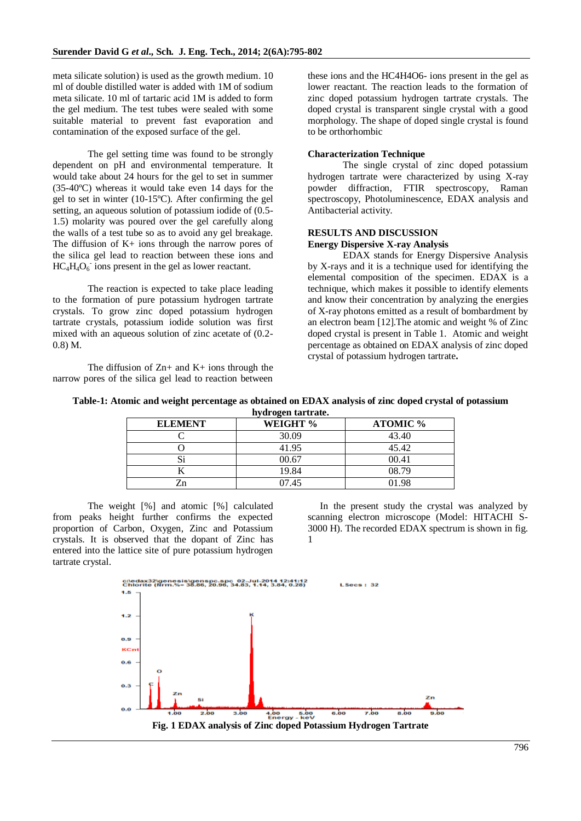meta silicate solution) is used as the growth medium. 10 ml of double distilled water is added with 1M of sodium meta silicate. 10 ml of tartaric acid 1M is added to form the gel medium. The test tubes were sealed with some suitable material to prevent fast evaporation and contamination of the exposed surface of the gel.

The gel setting time was found to be strongly dependent on pH and environmental temperature. It would take about 24 hours for the gel to set in summer (35-40ºC) whereas it would take even 14 days for the gel to set in winter (10-15ºC). After confirming the gel setting, an aqueous solution of potassium iodide of (0.5- 1.5) molarity was poured over the gel carefully along the walls of a test tube so as to avoid any gel breakage. The diffusion of  $K<sub>+</sub>$  ions through the narrow pores of the silica gel lead to reaction between these ions and  $HC_4H_4O_6$  ions present in the gel as lower reactant.

The reaction is expected to take place leading to the formation of pure potassium hydrogen tartrate crystals. To grow zinc doped potassium hydrogen tartrate crystals, potassium iodide solution was first mixed with an aqueous solution of zinc acetate of (0.2- 0.8) M.

The diffusion of  $Zn+$  and  $K+$  ions through the narrow pores of the silica gel lead to reaction between these ions and the HC4H4O6- ions present in the gel as lower reactant. The reaction leads to the formation of zinc doped potassium hydrogen tartrate crystals. The doped crystal is transparent single crystal with a good morphology. The shape of doped single crystal is found to be orthorhombic

### **Characterization Technique**

The single crystal of zinc doped potassium hydrogen tartrate were characterized by using X-ray powder diffraction, FTIR spectroscopy, Raman spectroscopy, Photoluminescence, EDAX analysis and Antibacterial activity.

### **RESULTS AND DISCUSSION Energy Dispersive X-ray Analysis**

EDAX stands for Energy Dispersive Analysis by X-rays and it is a technique used for identifying the elemental composition of the specimen. EDAX is a technique, which makes it possible to identify elements and know their concentration by analyzing the energies of X-ray photons emitted as a result of bombardment by an electron beam [12].The atomic and weight % of Zinc doped crystal is present in Table 1. Atomic and weight percentage as obtained on EDAX analysis of zinc doped crystal of potassium hydrogen tartrate**.**

| Table-1: Atomic and weight percentage as obtained on EDAX analysis of zinc doped crystal of potassium |  |
|-------------------------------------------------------------------------------------------------------|--|
| hydrogen tartrate.                                                                                    |  |

| nyar ogén tana au. |          |                 |  |  |  |  |
|--------------------|----------|-----------------|--|--|--|--|
| <b>ELEMENT</b>     | WEIGHT % | <b>ATOMIC %</b> |  |  |  |  |
|                    | 30.09    | 43.40           |  |  |  |  |
|                    | 41.95    | 45.42           |  |  |  |  |
| رد                 | 00.67    | 00.41           |  |  |  |  |
|                    | 19.84    | 08.79           |  |  |  |  |
|                    | 07.45    | 01.98           |  |  |  |  |

The weight [%] and atomic [%] calculated from peaks height further confirms the expected proportion of Carbon, Oxygen, Zinc and Potassium crystals. It is observed that the dopant of Zinc has entered into the lattice site of pure potassium hydrogen tartrate crystal.

In the present study the crystal was analyzed by scanning electron microscope (Model: HITACHI S-3000 H). The recorded EDAX spectrum is shown in fig. 1

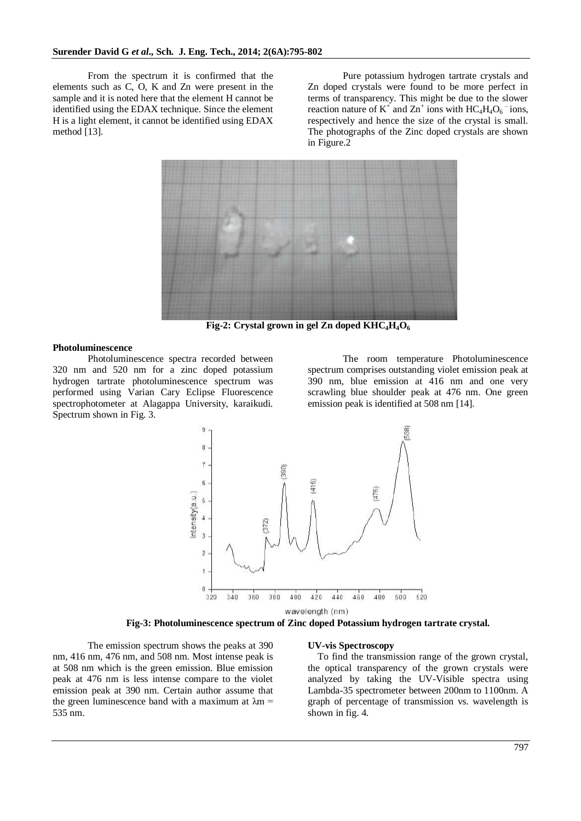From the spectrum it is confirmed that the elements such as C, O, K and Zn were present in the sample and it is noted here that the element H cannot be identified using the EDAX technique. Since the element H is a light element, it cannot be identified using EDAX method [13].

Pure potassium hydrogen tartrate crystals and Zn doped crystals were found to be more perfect in terms of transparency. This might be due to the slower reaction nature of  $K^+$  and  $Zn^+$  ions with  $HC_4H_4O_6^-$  ions, respectively and hence the size of the crystal is small. The photographs of the Zinc doped crystals are shown in Figure.2



**Fig-2: Crystal grown in gel Zn doped KHC4H4O<sup>6</sup>**

#### **Photoluminescence**

Photoluminescence spectra recorded between 320 nm and 520 nm for a zinc doped potassium hydrogen tartrate photoluminescence spectrum was performed using Varian Cary Eclipse Fluorescence spectrophotometer at Alagappa University, karaikudi. Spectrum shown in Fig. 3.

The room temperature Photoluminescence spectrum comprises outstanding violet emission peak at 390 nm, blue emission at 416 nm and one very scrawling blue shoulder peak at 476 nm. One green emission peak is identified at 508 nm [14].



wavelength (nm)

#### **Fig-3: Photoluminescence spectrum of Zinc doped Potassium hydrogen tartrate crystal.**

The emission spectrum shows the peaks at 390 nm, 416 nm, 476 nm, and 508 nm. Most intense peak is at 508 nm which is the green emission. Blue emission peak at 476 nm is less intense compare to the violet emission peak at 390 nm. Certain author assume that the green luminescence band with a maximum at  $\lambda$ m = 535 nm.

#### **UV-vis Spectroscopy**

To find the transmission range of the grown crystal, the optical transparency of the grown crystals were analyzed by taking the UV-Visible spectra using Lambda-35 spectrometer between 200nm to 1100nm. A graph of percentage of transmission vs. wavelength is shown in fig. 4.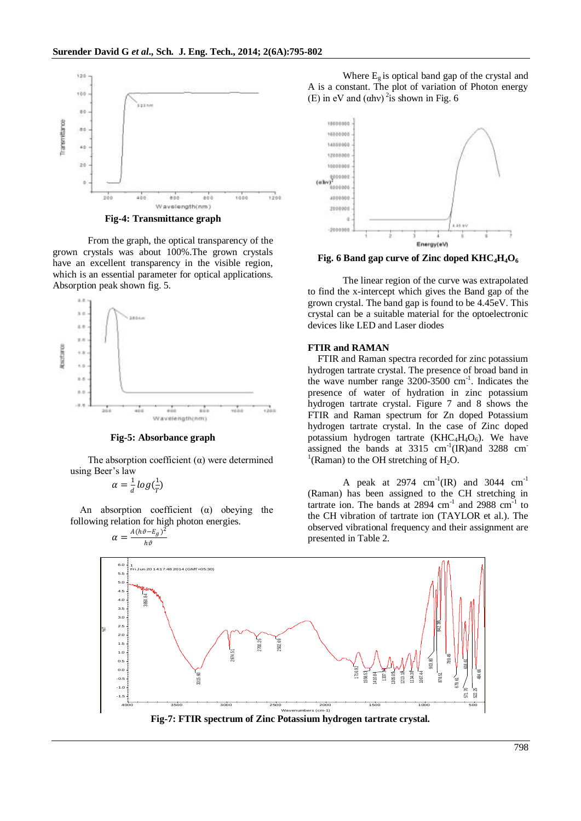

**Fig-4: Transmittance graph**

From the graph, the optical transparency of the grown crystals was about 100%.The grown crystals have an excellent transparency in the visible region, which is an essential parameter for optical applications. Absorption peak shown fig. 5.



**Fig-5: Absorbance graph**

The absorption coefficient  $(\alpha)$  were determined using Beer's law

$$
\alpha = \frac{1}{d} \log(\frac{1}{T})
$$

An absorption coefficient  $(\alpha)$  obeying the following relation for high photon energies.

$$
\alpha = \frac{A(h\vartheta - E_g)^2}{h\vartheta}
$$

Where  $E_g$  is optical band gap of the crystal and A is a constant. The plot of variation of Photon energy (E) in eV and  $(\alpha h v)^2$  is shown in Fig. 6



**Fig. 6 Band gap curve of Zinc doped KHC4H4O<sup>6</sup>**

The linear region of the curve was extrapolated to find the x-intercept which gives the Band gap of the grown crystal. The band gap is found to be 4.45eV. This crystal can be a suitable material for the optoelectronic devices like LED and Laser diodes

#### **FTIR and RAMAN**

FTIR and Raman spectra recorded for zinc potassium hydrogen tartrate crystal. The presence of broad band in the wave number range 3200-3500 cm-1 . Indicates the presence of water of hydration in zinc potassium hydrogen tartrate crystal. Figure 7 and 8 shows the FTIR and Raman spectrum for Zn doped Potassium hydrogen tartrate crystal. In the case of Zinc doped potassium hydrogen tartrate (KHC<sub>4</sub>H<sub>4</sub>O<sub>6</sub>). We have assigned the bands at  $3315 \text{ cm}^{-1}$ (IR)and  $3288 \text{ cm}^{-1}$  $<sup>1</sup>$ (Raman) to the OH stretching of H<sub>2</sub>O.</sup>

A peak at 2974  $cm^{-1}$ (IR) and 3044  $cm^{-1}$ (Raman) has been assigned to the CH stretching in tartrate ion. The bands at  $2894 \text{ cm}^{-1}$  and  $2988 \text{ cm}^{-1}$  to the CH vibration of tartrate ion (TAYLOR et al.). The observed vibrational frequency and their assignment are presented in Table 2.



**Fig-7: FTIR spectrum of Zinc Potassium hydrogen tartrate crystal.**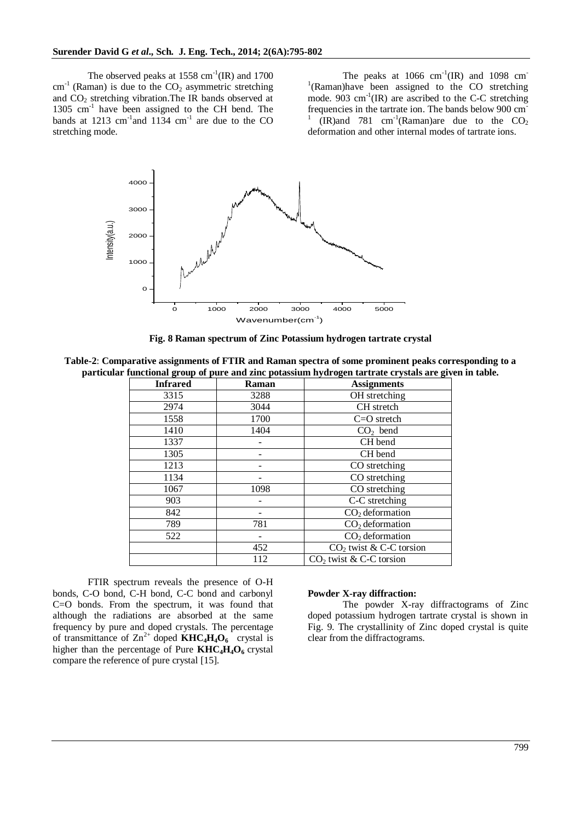The observed peaks at  $1558 \text{ cm}^{-1}(\text{IR})$  and  $1700$  $cm^{-1}$  (Raman) is due to the  $CO<sub>2</sub>$  asymmetric stretching and  $CO<sub>2</sub>$  stretching vibration. The IR bands observed at 1305 cm<sup>-1</sup> have been assigned to the CH bend. The bands at 1213 cm<sup>-1</sup> and 1134 cm<sup>-1</sup> are due to the CO stretching mode.

The peaks at  $1066 \text{ cm}^{-1}(\text{IR})$  and  $1098 \text{ cm}^{-1}$ <sup>1</sup>(Raman)have been assigned to the CO stretching mode.  $903 \text{ cm}^{-1}(\text{IR})$  are ascribed to the C-C stretching frequencies in the tartrate ion. The bands below 900 cm-1  $\text{(IR)}$ and 781 cm<sup>-1</sup>(Raman)are due to the CO<sub>2</sub> deformation and other internal modes of tartrate ions.



**Fig. 8 Raman spectrum of Zinc Potassium hydrogen tartrate crystal**

**Table-2**: **Comparative assignments of FTIR and Raman spectra of some prominent peaks corresponding to a particular functional group of pure and zinc potassium hydrogen tartrate crystals are given in table.**

| <b>Infrared</b> | <b>Assignments</b><br>Raman |                                     |  |  |  |
|-----------------|-----------------------------|-------------------------------------|--|--|--|
| 3315            | 3288                        | OH stretching                       |  |  |  |
| 2974            | 3044                        | CH stretch                          |  |  |  |
| 1558            | 1700                        | $C=O$ stretch                       |  |  |  |
| 1410            | 1404                        | $CO2$ bend                          |  |  |  |
| 1337            |                             | CH bend                             |  |  |  |
| 1305            |                             | CH bend                             |  |  |  |
| 1213            |                             | CO stretching                       |  |  |  |
| 1134            |                             | CO stretching                       |  |  |  |
| 1067            | 1098                        | CO stretching                       |  |  |  |
| 903             |                             | C-C stretching                      |  |  |  |
| 842             |                             | $CO2$ deformation                   |  |  |  |
| 789             | 781                         | $CO2$ deformation                   |  |  |  |
| 522             |                             | $CO2$ deformation                   |  |  |  |
|                 | 452                         | $CO2$ twist & C-C torsion           |  |  |  |
|                 | 112                         | CO <sub>2</sub> twist & C-C torsion |  |  |  |

FTIR spectrum reveals the presence of O-H bonds, C-O bond, C-H bond, C-C bond and carbonyl C=O bonds. From the spectrum, it was found that although the radiations are absorbed at the same frequency by pure and doped crystals. The percentage of transmittance of  $\text{Zn}^{2+}$  doped  $\text{KHC}_4\text{H}_4\text{O}_6$  crystal is higher than the percentage of Pure **KHC4H4O6** crystal compare the reference of pure crystal [15].

## **Powder X-ray diffraction:**

The powder X-ray diffractograms of Zinc doped potassium hydrogen tartrate crystal is shown in Fig. 9. The crystallinity of Zinc doped crystal is quite clear from the diffractograms.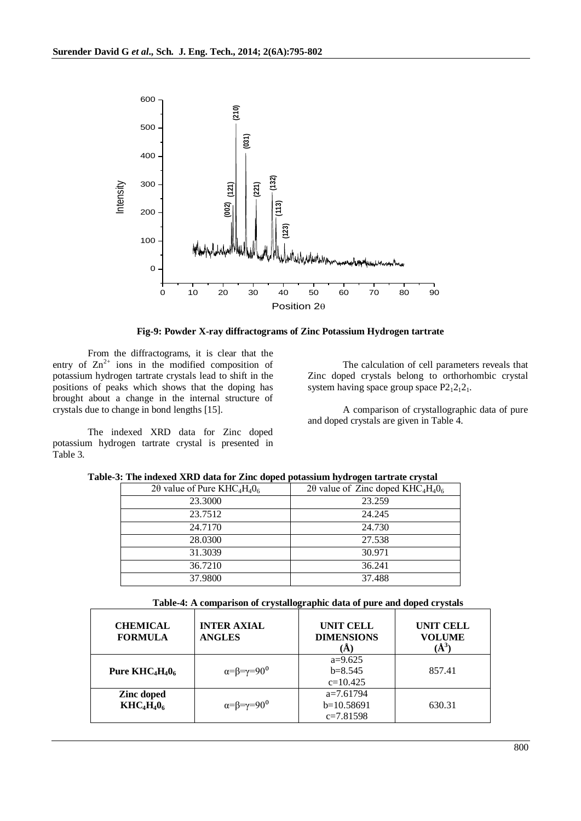

**Fig-9: Powder X-ray diffractograms of Zinc Potassium Hydrogen tartrate**

From the diffractograms, it is clear that the entry of  $\text{Zn}^{2+}$  ions in the modified composition of potassium hydrogen tartrate crystals lead to shift in the positions of peaks which shows that the doping has brought about a change in the internal structure of crystals due to change in bond lengths [15].

The indexed XRD data for Zinc doped potassium hydrogen tartrate crystal is presented in Table 3.

The calculation of cell parameters reveals that Zinc doped crystals belong to orthorhombic crystal system having space group space  $P2_12_12_1$ .

A comparison of crystallographic data of pure and doped crystals are given in Table 4.

|  |  |  | Table-3: The indexed XRD data for Zinc doped potassium hydrogen tartrate crystal |
|--|--|--|----------------------------------------------------------------------------------|
|--|--|--|----------------------------------------------------------------------------------|

| $2\theta$ value of Pure KHC <sub>4</sub> H <sub>4</sub> O <sub>6</sub> | 20 value of Zinc doped $KHC_4H_4O_6$ |
|------------------------------------------------------------------------|--------------------------------------|
| 23.3000                                                                | 23.259                               |
| 23.7512                                                                | 24.245                               |
| 24.7170                                                                | 24.730                               |
| 28.0300                                                                | 27.538                               |
| 31.3039                                                                | 30.971                               |
| 36.7210                                                                | 36.241                               |
| 37.9800                                                                | 37.488                               |

| Table-4: A comparison of crystallographic data of pure and doped crystals |
|---------------------------------------------------------------------------|
|---------------------------------------------------------------------------|

| <b>CHEMICAL</b><br><b>FORMULA</b> | <b>INTER AXIAL</b><br><b>ANGLES</b>    | <b>UNIT CELL</b><br><b>DIMENSIONS</b>      | <b>UNIT CELL</b><br><b>VOLUME</b><br>$(\AA^3)$ |
|-----------------------------------|----------------------------------------|--------------------------------------------|------------------------------------------------|
| Pure $KHC_4H_40_6$                | $\alpha = \beta = \gamma = 90^{\circ}$ | $a=9.625$<br>$b=8.545$<br>$c=10.425$       | 857.41                                         |
| Zinc doped<br>$KHC4H406$          | $\alpha = \beta = \gamma = 90^{\circ}$ | $a=7.61794$<br>$b=10.58691$<br>$c=7.81598$ | 630.31                                         |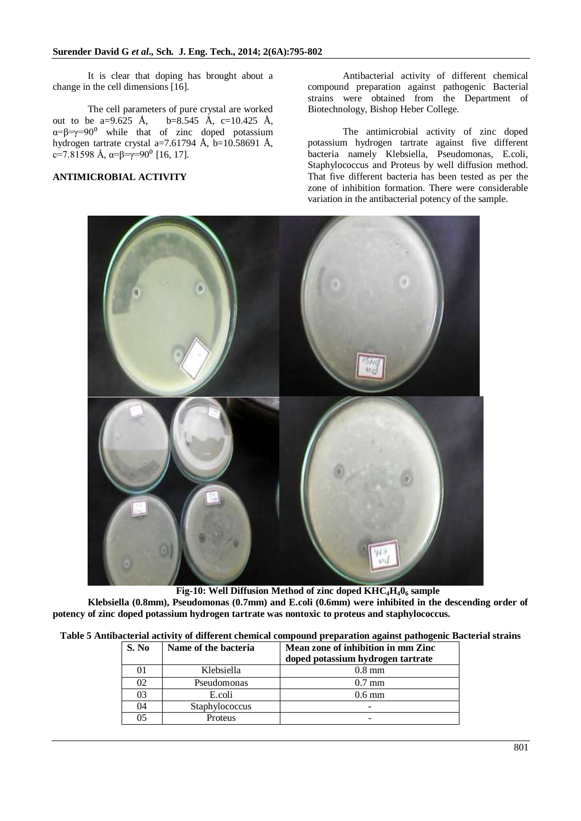It is clear that doping has brought about a change in the cell dimensions [16].

The cell parameters of pure crystal are worked out to be a=9.625 Å, b=8.545 Å, c=10.425 Å,  $\alpha = \beta = \gamma = 90^{\circ}$  while that of zinc doped potassium hydrogen tartrate crystal a=7.61794 Å, b=10.58691 Å, c=7.81598 Å,  $\alpha = \beta = \gamma = 90^{\circ}$  [16, 17].

# **ANTIMICROBIAL ACTIVITY**

Antibacterial activity of different chemical compound preparation against pathogenic Bacterial strains were obtained from the Department of Biotechnology, Bishop Heber College.

The antimicrobial activity of zinc doped potassium hydrogen tartrate against five different bacteria namely Klebsiella, Pseudomonas, E.coli, Staphylococcus and Proteus by well diffusion method. That five different bacteria has been tested as per the zone of inhibition formation. There were considerable variation in the antibacterial potency of the sample.



**Fig-10: Well Diffusion Method of zinc doped KHC4H40<sup>6</sup> sample Klebsiella (0.8mm), Pseudomonas (0.7mm) and E.coli (0.6mm) were inhibited in the descending order of potency of zinc doped potassium hydrogen tartrate was nontoxic to proteus and staphylococcus.**

| Table 5 Antibacterial activity of different chemical compound preparation against pathogenic Bacterial strains |  |  |  |  |  |  |  |  |
|----------------------------------------------------------------------------------------------------------------|--|--|--|--|--|--|--|--|
|----------------------------------------------------------------------------------------------------------------|--|--|--|--|--|--|--|--|

| S. No | Name of the bacteria | Mean zone of inhibition in mm Zinc<br>doped potassium hydrogen tartrate |
|-------|----------------------|-------------------------------------------------------------------------|
|       | Klebsiella           | $0.8$ mm                                                                |
| 02    | Pseudomonas          | $0.7 \text{ mm}$                                                        |
| 03    | E.coli               | $0.6 \text{ mm}$                                                        |
| 04    | Staphylococcus       | -                                                                       |
| 05    | Proteus              | -                                                                       |